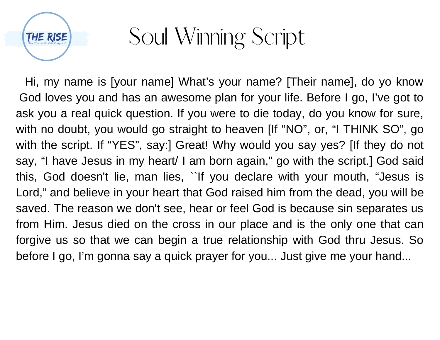

## Soul Winning Script

Hi, my name is [your name] What's your name? [Their name], do yo know God loves you and has an awesome plan for your life. Before I go, I've got to ask you a real quick question. If you were to die today, do you know for sure, with no doubt, you would go straight to heaven [If "NO" , or, "I THINK SO" , go with the script. If "YES" , say:] Great! Why would you say yes? [If they do not say, "I have Jesus in my heart/ I am born again, " go with the script.] God said this, God doesn't lie, man lies, ``If you declare with your mouth, "Jesus is Lord, " and believe in your heart that God raised him from the dead, you will be saved. The reason we don't see, hear or feel God is because sin separates us from Him. Jesus died on the cross in our place and is the only one that can forgive us so that we can begin a true relationship with God thru Jesus. So before I go, I'm gonna say a quick prayer for you... Just give me your hand...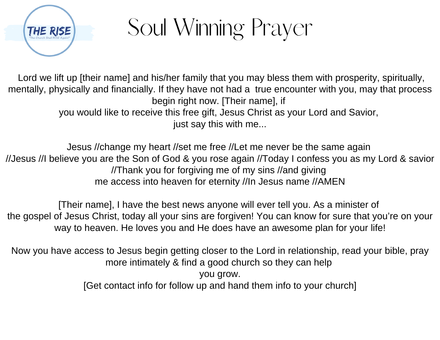

## Soul Winning Prayer

Lord we lift up [their name] and his/her family that you may bless them with prosperity, spiritually, mentally, physically and financially. If they have not had a true encounter with you, may that process begin right now. [Their name], if you would like to receive this free gift, Jesus Christ as your Lord and Savior, just say this with me...

Jesus //change my heart //set me free //Let me never be the same again //Jesus //I believe you are the Son of God & you rose again //Today I confess you as my Lord & savior //Thank you for forgiving me of my sins //and giving me access into heaven for eternity //In Jesus name //AMEN

[Their name], I have the best news anyone will ever tell you. As a minister of the gospel of Jesus Christ, today all your sins are forgiven! You can know for sure that you're on your way to heaven. He loves you and He does have an awesome plan for your life!

Now you have access to Jesus begin getting closer to the Lord in relationship, read your bible, pray more intimately & find a good church so they can help you grow. [Get contact info for follow up and hand them info to your church]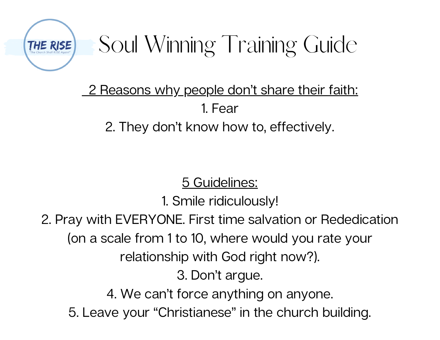

## 2 Reasons why people don't share their faith: 1. Fear 2. They don't know how to, effectively.

5 Guidelines:

1. Smile ridiculously!

2. Pray with EVERYONE. First time salvation or Rededication (on a scale from 1 to 10, where would you rate your relationship with God right now?). 3. Don't argue. 4. We can't force anything on anyone. 5. Leave your "Christianese" in the church building.